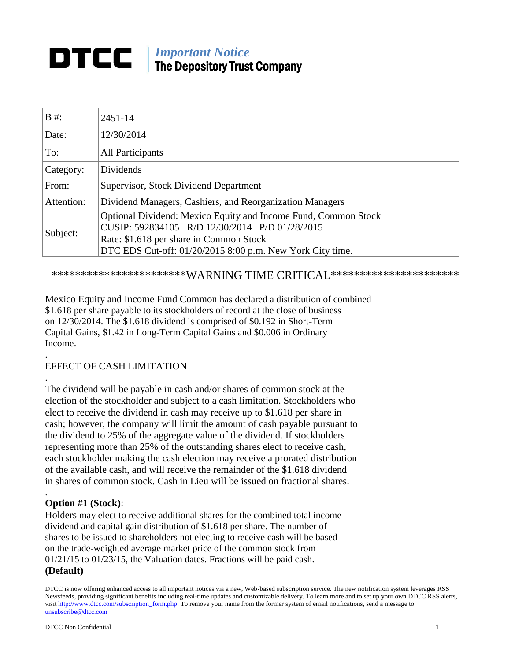# **DTCC** Important Notice The Depository Trust Company

| $B \#$ :   | $2451 - 14$                                                                                                                                                                                                              |
|------------|--------------------------------------------------------------------------------------------------------------------------------------------------------------------------------------------------------------------------|
| Date:      | 12/30/2014                                                                                                                                                                                                               |
| To:        | <b>All Participants</b>                                                                                                                                                                                                  |
| Category:  | Dividends                                                                                                                                                                                                                |
| From:      | Supervisor, Stock Dividend Department                                                                                                                                                                                    |
| Attention: | Dividend Managers, Cashiers, and Reorganization Managers                                                                                                                                                                 |
| Subject:   | Optional Dividend: Mexico Equity and Income Fund, Common Stock<br>CUSIP: 592834105 R/D 12/30/2014 P/D 01/28/2015<br>Rate: \$1.618 per share in Common Stock<br>DTC EDS Cut-off: 01/20/2015 8:00 p.m. New York City time. |

\*\*\*\*\*\*\*\*\*\*\*\*\*\*\*\*\*\*\*\*\*\*\*\*WARNING TIME CRITICAL\*\*\*\*\*\*\*\*\*\*\*\*\*\*\*\*\*\*\*\*\*\*\*

Mexico Equity and Income Fund Common has declared a distribution of combined \$1.618 per share payable to its stockholders of record at the close of business on 12/30/2014. The \$1.618 dividend is comprised of \$0.192 in Short-Term Capital Gains, \$1.42 in Long-Term Capital Gains and \$0.006 in Ordinary Income.

#### . EFFECT OF CASH LIMITATION

The dividend will be payable in cash and/or shares of common stock at the election of the stockholder and subject to a cash limitation. Stockholders who elect to receive the dividend in cash may receive up to \$1.618 per share in cash; however, the company will limit the amount of cash payable pursuant to the dividend to 25% of the aggregate value of the dividend. If stockholders representing more than 25% of the outstanding shares elect to receive cash, each stockholder making the cash election may receive a prorated distribution of the available cash, and will receive the remainder of the \$1.618 dividend in shares of common stock. Cash in Lieu will be issued on fractional shares.

## **Option #1 (Stock)**:

.

.

Holders may elect to receive additional shares for the combined total income dividend and capital gain distribution of \$1.618 per share. The number of shares to be issued to shareholders not electing to receive cash will be based on the trade-weighted average market price of the common stock from 01/21/15 to 01/23/15, the Valuation dates. Fractions will be paid cash. **(Default)**

DTCC is now offering enhanced access to all important notices via a new, Web-based subscription service. The new notification system leverages RSS Newsfeeds, providing significant benefits including real-time updates and customizable delivery. To learn more and to set up your own DTCC RSS alerts, visit [http://www.dtcc.com/subscription\\_form.php.](http://www.dtcc.com/subscription_form.php) To remove your name from the former system of email notifications, send a message to [unsubscribe@dtcc.com](mailto:unsubscribe@dtcc.com)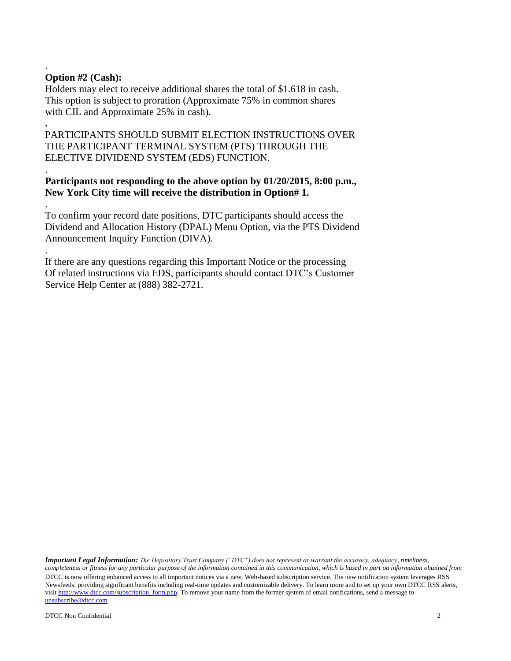## **Option #2 (Cash):**

.

.

.

.

Holders may elect to receive additional shares the total of \$1.618 in cash. This option is subject to proration (Approximate 75% in common shares with CIL and Approximate 25% in cash).

**.** PARTICIPANTS SHOULD SUBMIT ELECTION INSTRUCTIONS OVER THE PARTICIPANT TERMINAL SYSTEM (PTS) THROUGH THE ELECTIVE DIVIDEND SYSTEM (EDS) FUNCTION.

## **Participants not responding to the above option by 01/20/2015, 8:00 p.m., New York City time will receive the distribution in Option# 1.**

To confirm your record date positions, DTC participants should access the Dividend and Allocation History (DPAL) Menu Option, via the PTS Dividend Announcement Inquiry Function (DIVA).

If there are any questions regarding this Important Notice or the processing Of related instructions via EDS, participants should contact DTC's Customer Service Help Center at (888) 382-2721.

DTCC is now offering enhanced access to all important notices via a new, Web-based subscription service. The new notification system leverages RSS Newsfeeds, providing significant benefits including real-time updates and customizable delivery. To learn more and to set up your own DTCC RSS alerts, visit [http://www.dtcc.com/subscription\\_form.php.](http://www.dtcc.com/subscription_form.php) To remove your name from the former system of email notifications, send a message to [unsubscribe@dtcc.com](mailto:unsubscribe@dtcc.com) *Important Legal Information: The Depository Trust Company ("DTC") does not represent or warrant the accuracy, adequacy, timeliness, completeness or fitness for any particular purpose of the information contained in this communication, which is based in part on information obtained from*